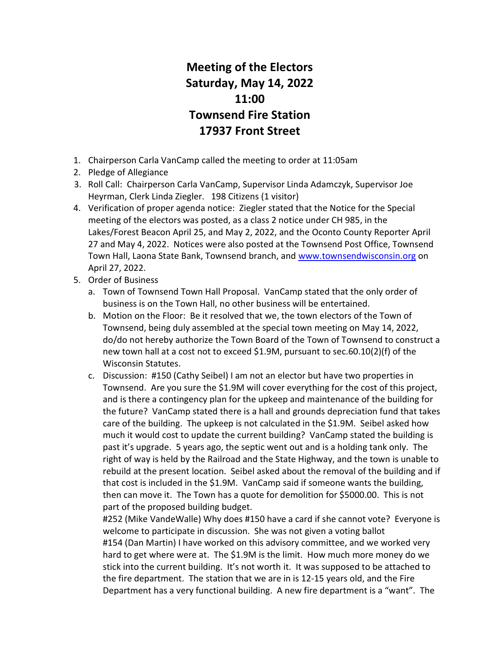## Meeting of the Electors Saturday, May 14, 2022 11:00 Townsend Fire Station 17937 Front Street

- 1. Chairperson Carla VanCamp called the meeting to order at 11:05am
- 2. Pledge of Allegiance
- 3. Roll Call: Chairperson Carla VanCamp, Supervisor Linda Adamczyk, Supervisor Joe Heyrman, Clerk Linda Ziegler. 198 Citizens (1 visitor)
- 4. Verification of proper agenda notice: Ziegler stated that the Notice for the Special meeting of the electors was posted, as a class 2 notice under CH 985, in the Lakes/Forest Beacon April 25, and May 2, 2022, and the Oconto County Reporter April 27 and May 4, 2022. Notices were also posted at the Townsend Post Office, Townsend Town Hall, Laona State Bank, Townsend branch, and www.townsendwisconsin.org on April 27, 2022.
- 5. Order of Business
	- a. Town of Townsend Town Hall Proposal. VanCamp stated that the only order of business is on the Town Hall, no other business will be entertained.
	- b. Motion on the Floor: Be it resolved that we, the town electors of the Town of Townsend, being duly assembled at the special town meeting on May 14, 2022, do/do not hereby authorize the Town Board of the Town of Townsend to construct a new town hall at a cost not to exceed \$1.9M, pursuant to sec.60.10(2)(f) of the Wisconsin Statutes.
	- c. Discussion: #150 (Cathy Seibel) I am not an elector but have two properties in Townsend. Are you sure the \$1.9M will cover everything for the cost of this project, and is there a contingency plan for the upkeep and maintenance of the building for the future? VanCamp stated there is a hall and grounds depreciation fund that takes care of the building. The upkeep is not calculated in the \$1.9M. Seibel asked how much it would cost to update the current building? VanCamp stated the building is past it's upgrade. 5 years ago, the septic went out and is a holding tank only. The right of way is held by the Railroad and the State Highway, and the town is unable to rebuild at the present location. Seibel asked about the removal of the building and if that cost is included in the \$1.9M. VanCamp said if someone wants the building, then can move it. The Town has a quote for demolition for \$5000.00. This is not part of the proposed building budget.

#252 (Mike VandeWalle) Why does #150 have a card if she cannot vote? Everyone is welcome to participate in discussion. She was not given a voting ballot #154 (Dan Martin) I have worked on this advisory committee, and we worked very hard to get where were at. The \$1.9M is the limit. How much more money do we stick into the current building. It's not worth it. It was supposed to be attached to the fire department. The station that we are in is 12-15 years old, and the Fire Department has a very functional building. A new fire department is a "want". The